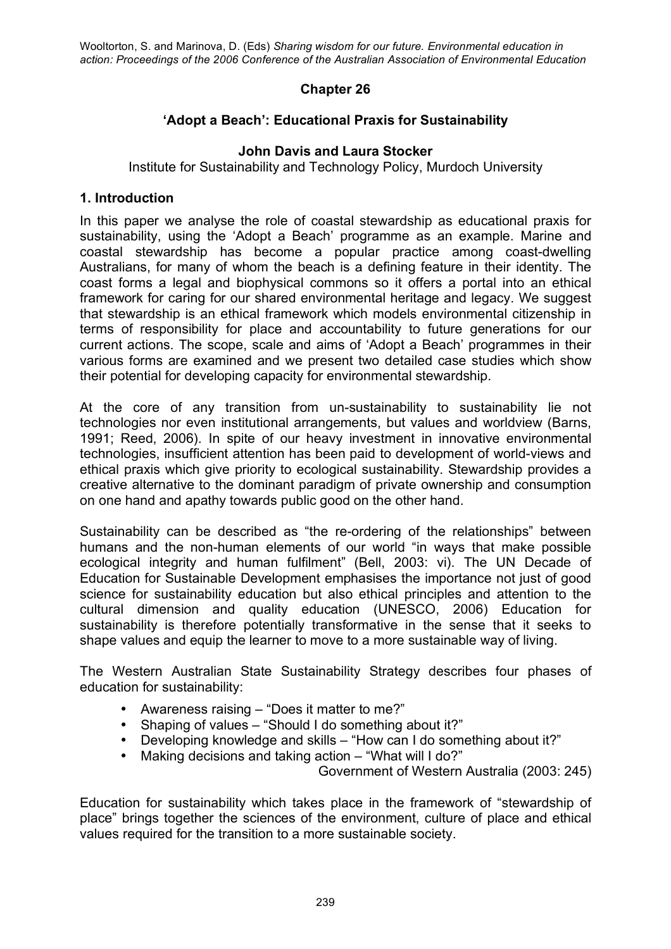# **Chapter 26**

# **'Adopt a Beach': Educational Praxis for Sustainability**

## **John Davis and Laura Stocker**

Institute for Sustainability and Technology Policy, Murdoch University

### **1. Introduction**

In this paper we analyse the role of coastal stewardship as educational praxis for sustainability, using the 'Adopt a Beach' programme as an example. Marine and coastal stewardship has become a popular practice among coast-dwelling Australians, for many of whom the beach is a defining feature in their identity. The coast forms a legal and biophysical commons so it offers a portal into an ethical framework for caring for our shared environmental heritage and legacy. We suggest that stewardship is an ethical framework which models environmental citizenship in terms of responsibility for place and accountability to future generations for our current actions. The scope, scale and aims of 'Adopt a Beach' programmes in their various forms are examined and we present two detailed case studies which show their potential for developing capacity for environmental stewardship.

At the core of any transition from un-sustainability to sustainability lie not technologies nor even institutional arrangements, but values and worldview (Barns, 1991; Reed, 2006). In spite of our heavy investment in innovative environmental technologies, insufficient attention has been paid to development of world-views and ethical praxis which give priority to ecological sustainability. Stewardship provides a creative alternative to the dominant paradigm of private ownership and consumption on one hand and apathy towards public good on the other hand.

Sustainability can be described as "the re-ordering of the relationships" between humans and the non-human elements of our world "in ways that make possible ecological integrity and human fulfilment" (Bell, 2003: vi). The UN Decade of Education for Sustainable Development emphasises the importance not just of good science for sustainability education but also ethical principles and attention to the cultural dimension and quality education (UNESCO, 2006) Education for sustainability is therefore potentially transformative in the sense that it seeks to shape values and equip the learner to move to a more sustainable way of living.

The Western Australian State Sustainability Strategy describes four phases of education for sustainability:

- Awareness raising "Does it matter to me?"
- Shaping of values "Should I do something about it?"<br>• Developing knowledge and skills "How can I do som
- Developing knowledge and skills "How can I do something about it?"
- Making decisions and taking action "What will I do?"

Government of Western Australia (2003: 245)

Education for sustainability which takes place in the framework of "stewardship of place" brings together the sciences of the environment, culture of place and ethical values required for the transition to a more sustainable society.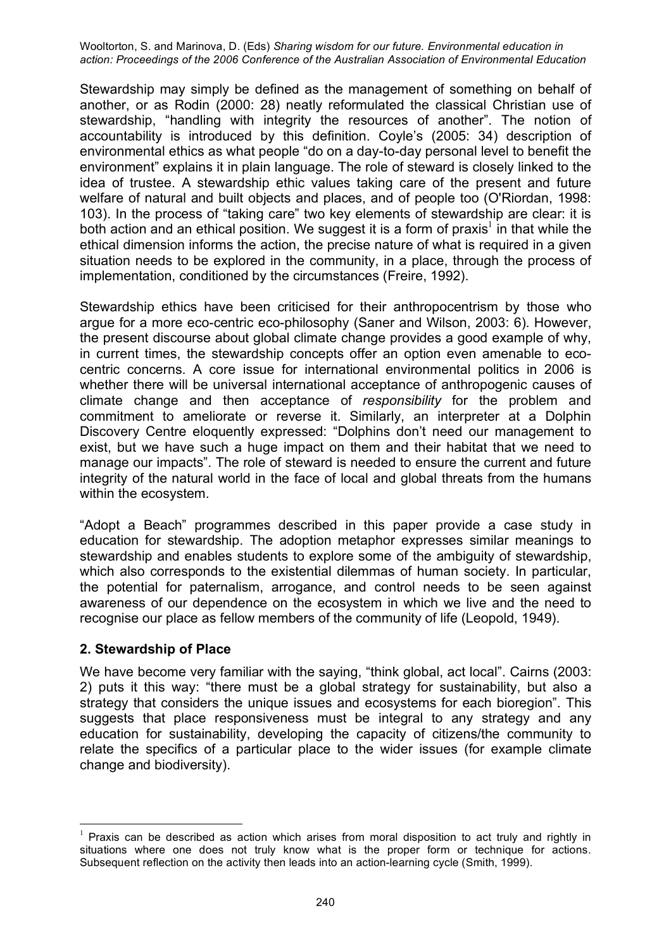Stewardship may simply be defined as the management of something on behalf of another, or as Rodin (2000: 28) neatly reformulated the classical Christian use of stewardship, "handling with integrity the resources of another". The notion of accountability is introduced by this definition. Coyle's (2005: 34) description of environmental ethics as what people "do on a day-to-day personal level to benefit the environment" explains it in plain language. The role of steward is closely linked to the idea of trustee. A stewardship ethic values taking care of the present and future welfare of natural and built objects and places, and of people too (O'Riordan, 1998: 103). In the process of "taking care" two key elements of stewardship are clear: it is both action and an ethical position. We suggest it is a form of praxis<sup>1</sup> in that while the ethical dimension informs the action, the precise nature of what is required in a given situation needs to be explored in the community, in a place, through the process of implementation, conditioned by the circumstances (Freire, 1992).

Stewardship ethics have been criticised for their anthropocentrism by those who argue for a more eco-centric eco-philosophy (Saner and Wilson, 2003: 6). However, the present discourse about global climate change provides a good example of why, in current times, the stewardship concepts offer an option even amenable to ecocentric concerns. A core issue for international environmental politics in 2006 is whether there will be universal international acceptance of anthropogenic causes of climate change and then acceptance of *responsibility* for the problem and commitment to ameliorate or reverse it. Similarly, an interpreter at a Dolphin Discovery Centre eloquently expressed: "Dolphins don't need our management to exist, but we have such a huge impact on them and their habitat that we need to manage our impacts". The role of steward is needed to ensure the current and future integrity of the natural world in the face of local and global threats from the humans within the ecosystem.

"Adopt a Beach" programmes described in this paper provide a case study in education for stewardship. The adoption metaphor expresses similar meanings to stewardship and enables students to explore some of the ambiguity of stewardship, which also corresponds to the existential dilemmas of human society. In particular, the potential for paternalism, arrogance, and control needs to be seen against awareness of our dependence on the ecosystem in which we live and the need to recognise our place as fellow members of the community of life (Leopold, 1949).

#### **2. Stewardship of Place**

We have become very familiar with the saying, "think global, act local". Cairns (2003: 2) puts it this way: "there must be a global strategy for sustainability, but also a strategy that considers the unique issues and ecosystems for each bioregion". This suggests that place responsiveness must be integral to any strategy and any education for sustainability, developing the capacity of citizens/the community to relate the specifics of a particular place to the wider issues (for example climate change and biodiversity).

 $1$  Praxis can be described as action which arises from moral disposition to act truly and rightly in situations where one does not truly know what is the proper form or technique for actions. Subsequent reflection on the activity then leads into an action-learning cycle (Smith, 1999).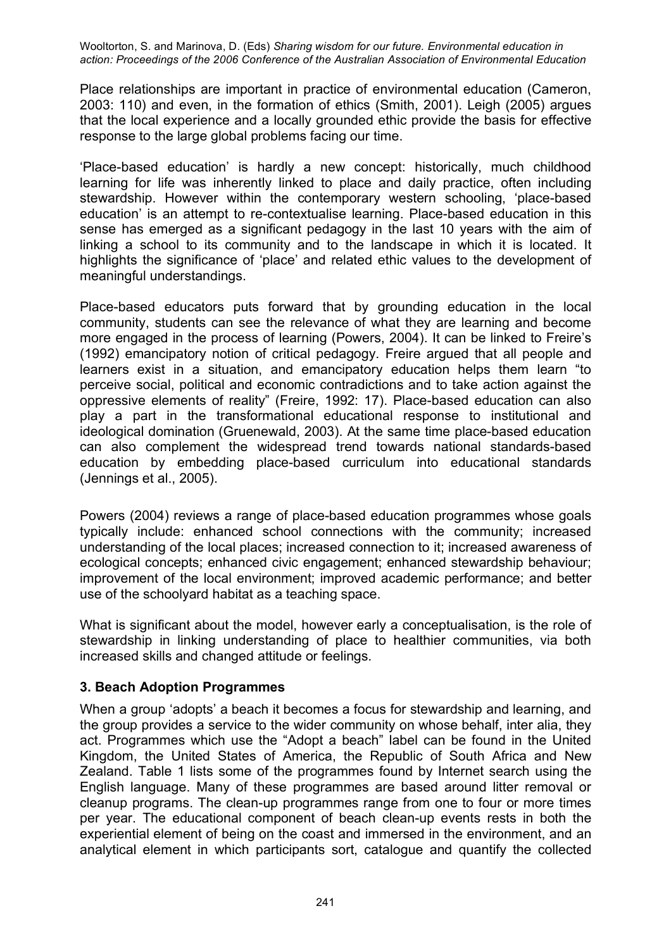Place relationships are important in practice of environmental education (Cameron, 2003: 110) and even, in the formation of ethics (Smith, 2001). Leigh (2005) argues that the local experience and a locally grounded ethic provide the basis for effective response to the large global problems facing our time.

'Place-based education' is hardly a new concept: historically, much childhood learning for life was inherently linked to place and daily practice, often including stewardship. However within the contemporary western schooling, 'place-based education' is an attempt to re-contextualise learning. Place-based education in this sense has emerged as a significant pedagogy in the last 10 years with the aim of linking a school to its community and to the landscape in which it is located. It highlights the significance of 'place' and related ethic values to the development of meaningful understandings.

Place-based educators puts forward that by grounding education in the local community, students can see the relevance of what they are learning and become more engaged in the process of learning (Powers, 2004). It can be linked to Freire's (1992) emancipatory notion of critical pedagogy. Freire argued that all people and learners exist in a situation, and emancipatory education helps them learn "to perceive social, political and economic contradictions and to take action against the oppressive elements of reality" (Freire, 1992: 17). Place-based education can also play a part in the transformational educational response to institutional and ideological domination (Gruenewald, 2003). At the same time place-based education can also complement the widespread trend towards national standards-based education by embedding place-based curriculum into educational standards (Jennings et al., 2005).

Powers (2004) reviews a range of place-based education programmes whose goals typically include: enhanced school connections with the community; increased understanding of the local places; increased connection to it; increased awareness of ecological concepts; enhanced civic engagement; enhanced stewardship behaviour; improvement of the local environment; improved academic performance; and better use of the schoolyard habitat as a teaching space.

What is significant about the model, however early a conceptualisation, is the role of stewardship in linking understanding of place to healthier communities, via both increased skills and changed attitude or feelings.

#### **3. Beach Adoption Programmes**

When a group 'adopts' a beach it becomes a focus for stewardship and learning, and the group provides a service to the wider community on whose behalf, inter alia, they act. Programmes which use the "Adopt a beach" label can be found in the United Kingdom, the United States of America, the Republic of South Africa and New Zealand. Table 1 lists some of the programmes found by Internet search using the English language. Many of these programmes are based around litter removal or cleanup programs. The clean-up programmes range from one to four or more times per year. The educational component of beach clean-up events rests in both the experiential element of being on the coast and immersed in the environment, and an analytical element in which participants sort, catalogue and quantify the collected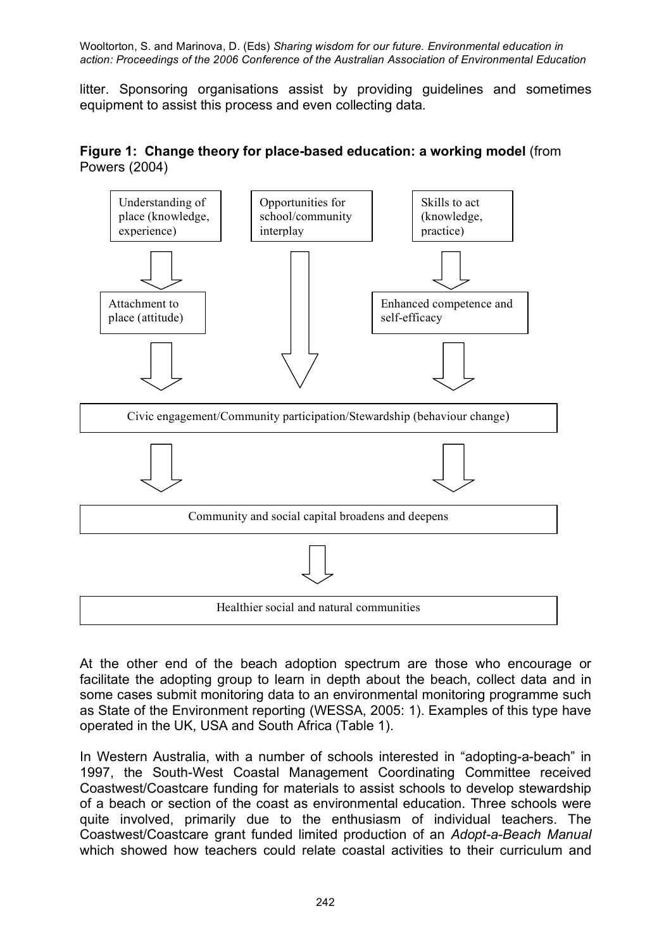litter. Sponsoring organisations assist by providing guidelines and sometimes equipment to assist this process and even collecting data.





At the other end of the beach adoption spectrum are those who encourage or facilitate the adopting group to learn in depth about the beach, collect data and in some cases submit monitoring data to an environmental monitoring programme such as State of the Environment reporting (WESSA, 2005: 1). Examples of this type have operated in the UK, USA and South Africa (Table 1).

In Western Australia, with a number of schools interested in "adopting-a-beach" in 1997, the South-West Coastal Management Coordinating Committee received Coastwest/Coastcare funding for materials to assist schools to develop stewardship of a beach or section of the coast as environmental education. Three schools were quite involved, primarily due to the enthusiasm of individual teachers. The Coastwest/Coastcare grant funded limited production of an *Adopt-a-Beach Manual* which showed how teachers could relate coastal activities to their curriculum and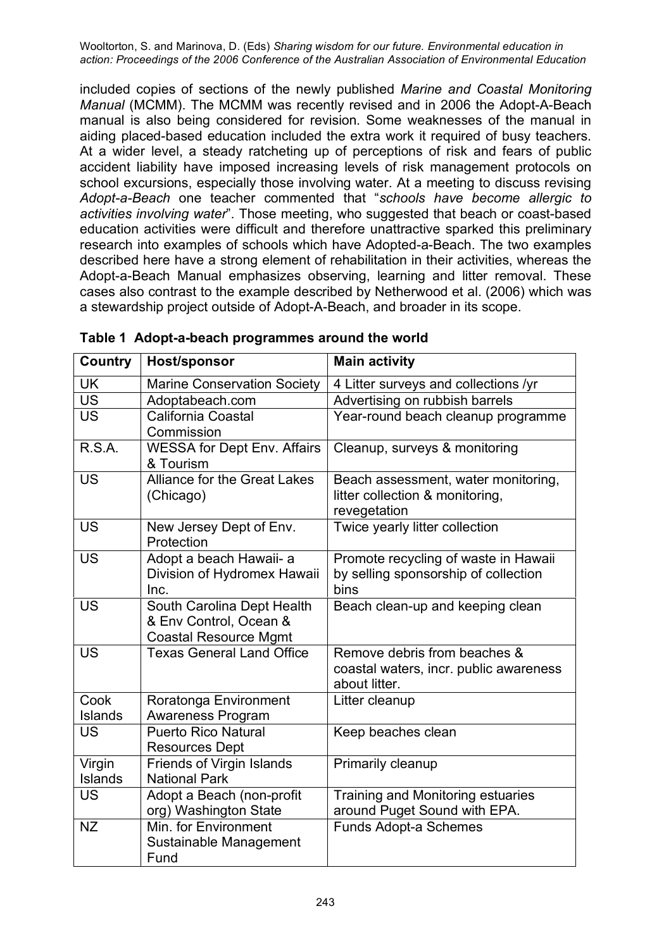included copies of sections of the newly published *Marine and Coastal Monitoring Manual* (MCMM). The MCMM was recently revised and in 2006 the Adopt-A-Beach manual is also being considered for revision. Some weaknesses of the manual in aiding placed-based education included the extra work it required of busy teachers. At a wider level, a steady ratcheting up of perceptions of risk and fears of public accident liability have imposed increasing levels of risk management protocols on school excursions, especially those involving water. At a meeting to discuss revising *Adopt-a-Beach* one teacher commented that "*schools have become allergic to activities involving water*". Those meeting, who suggested that beach or coast-based education activities were difficult and therefore unattractive sparked this preliminary research into examples of schools which have Adopted-a-Beach. The two examples described here have a strong element of rehabilitation in their activities, whereas the Adopt-a-Beach Manual emphasizes observing, learning and litter removal. These cases also contrast to the example described by Netherwood et al. (2006) which was a stewardship project outside of Adopt-A-Beach, and broader in its scope.

| Country           | Host/sponsor                                                                         | <b>Main activity</b>                                                                    |
|-------------------|--------------------------------------------------------------------------------------|-----------------------------------------------------------------------------------------|
| <b>UK</b>         | <b>Marine Conservation Society</b>                                                   | 4 Litter surveys and collections /yr                                                    |
| $\overline{US}$   | Adoptabeach.com                                                                      | Advertising on rubbish barrels                                                          |
| <b>US</b>         | California Coastal<br>Commission                                                     | Year-round beach cleanup programme                                                      |
| R.S.A.            | <b>WESSA for Dept Env. Affairs</b><br>& Tourism                                      | Cleanup, surveys & monitoring                                                           |
| <b>US</b>         | <b>Alliance for the Great Lakes</b><br>(Chicago)                                     | Beach assessment, water monitoring,<br>litter collection & monitoring,<br>revegetation  |
| <b>US</b>         | New Jersey Dept of Env.<br>Protection                                                | Twice yearly litter collection                                                          |
| <b>US</b>         | Adopt a beach Hawaii- a<br>Division of Hydromex Hawaii<br>Inc.                       | Promote recycling of waste in Hawaii<br>by selling sponsorship of collection<br>bins    |
| <b>US</b>         | South Carolina Dept Health<br>& Env Control, Ocean &<br><b>Coastal Resource Mgmt</b> | Beach clean-up and keeping clean                                                        |
| <b>US</b>         | <b>Texas General Land Office</b>                                                     | Remove debris from beaches &<br>coastal waters, incr. public awareness<br>about litter. |
| Cook<br>Islands   | Roratonga Environment<br>Awareness Program                                           | Litter cleanup                                                                          |
| <b>US</b>         | <b>Puerto Rico Natural</b><br><b>Resources Dept</b>                                  | Keep beaches clean                                                                      |
| Virgin<br>Islands | <b>Friends of Virgin Islands</b><br><b>National Park</b>                             | Primarily cleanup                                                                       |
| <b>US</b>         | Adopt a Beach (non-profit<br>org) Washington State                                   | Training and Monitoring estuaries<br>around Puget Sound with EPA.                       |
| <b>NZ</b>         | Min. for Environment<br>Sustainable Management<br>Fund                               | <b>Funds Adopt-a Schemes</b>                                                            |

**Table 1 Adopt-a-beach programmes around the world**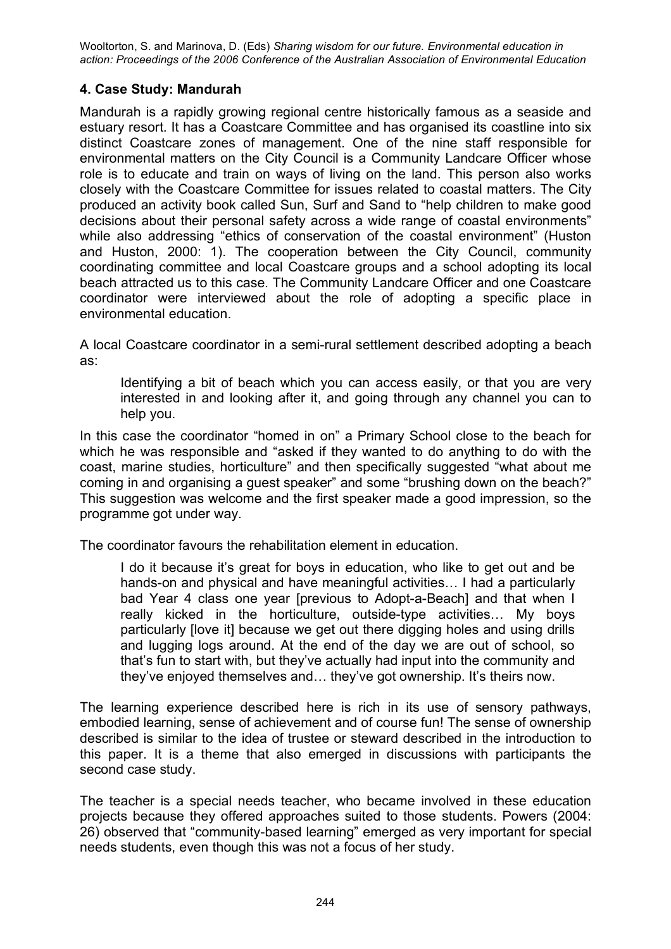## **4. Case Study: Mandurah**

Mandurah is a rapidly growing regional centre historically famous as a seaside and estuary resort. It has a Coastcare Committee and has organised its coastline into six distinct Coastcare zones of management. One of the nine staff responsible for environmental matters on the City Council is a Community Landcare Officer whose role is to educate and train on ways of living on the land. This person also works closely with the Coastcare Committee for issues related to coastal matters. The City produced an activity book called Sun, Surf and Sand to "help children to make good decisions about their personal safety across a wide range of coastal environments" while also addressing "ethics of conservation of the coastal environment" (Huston and Huston, 2000: 1). The cooperation between the City Council, community coordinating committee and local Coastcare groups and a school adopting its local beach attracted us to this case. The Community Landcare Officer and one Coastcare coordinator were interviewed about the role of adopting a specific place in environmental education.

A local Coastcare coordinator in a semi-rural settlement described adopting a beach as:

Identifying a bit of beach which you can access easily, or that you are very interested in and looking after it, and going through any channel you can to help you.

In this case the coordinator "homed in on" a Primary School close to the beach for which he was responsible and "asked if they wanted to do anything to do with the coast, marine studies, horticulture" and then specifically suggested "what about me coming in and organising a guest speaker" and some "brushing down on the beach?" This suggestion was welcome and the first speaker made a good impression, so the programme got under way.

The coordinator favours the rehabilitation element in education.

I do it because it's great for boys in education, who like to get out and be hands-on and physical and have meaningful activities… I had a particularly bad Year 4 class one year [previous to Adopt-a-Beach] and that when I really kicked in the horticulture, outside-type activities… My boys particularly [love it] because we get out there digging holes and using drills and lugging logs around. At the end of the day we are out of school, so that's fun to start with, but they've actually had input into the community and they've enjoyed themselves and… they've got ownership. It's theirs now.

The learning experience described here is rich in its use of sensory pathways, embodied learning, sense of achievement and of course fun! The sense of ownership described is similar to the idea of trustee or steward described in the introduction to this paper. It is a theme that also emerged in discussions with participants the second case study.

The teacher is a special needs teacher, who became involved in these education projects because they offered approaches suited to those students. Powers (2004: 26) observed that "community-based learning" emerged as very important for special needs students, even though this was not a focus of her study.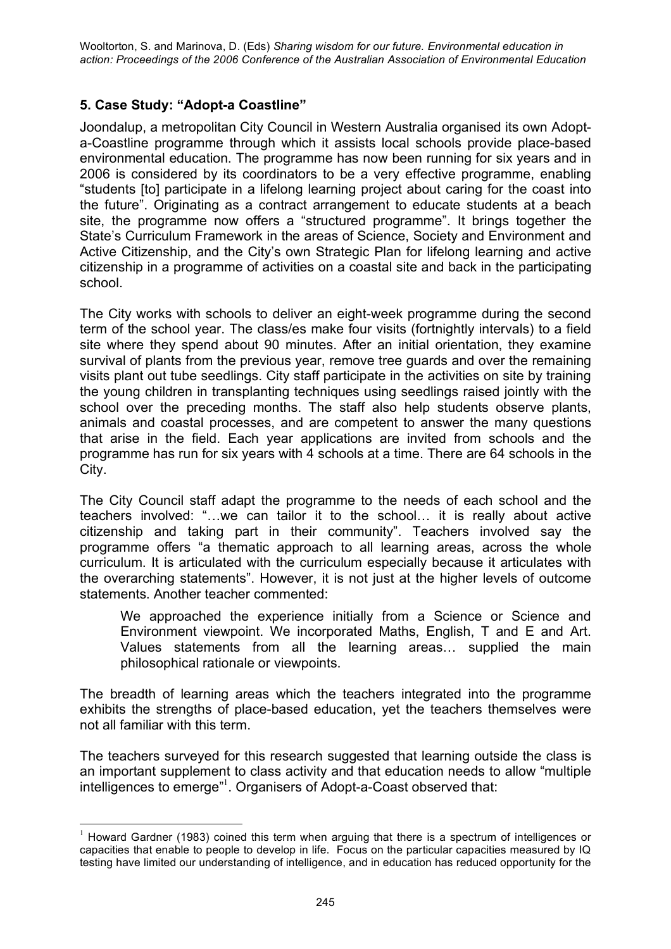### **5. Case Study: "Adopt-a Coastline"**

Joondalup, a metropolitan City Council in Western Australia organised its own Adopta-Coastline programme through which it assists local schools provide place-based environmental education. The programme has now been running for six years and in 2006 is considered by its coordinators to be a very effective programme, enabling "students [to] participate in a lifelong learning project about caring for the coast into the future". Originating as a contract arrangement to educate students at a beach site, the programme now offers a "structured programme". It brings together the State's Curriculum Framework in the areas of Science, Society and Environment and Active Citizenship, and the City's own Strategic Plan for lifelong learning and active citizenship in a programme of activities on a coastal site and back in the participating school.

The City works with schools to deliver an eight-week programme during the second term of the school year. The class/es make four visits (fortnightly intervals) to a field site where they spend about 90 minutes. After an initial orientation, they examine survival of plants from the previous year, remove tree guards and over the remaining visits plant out tube seedlings. City staff participate in the activities on site by training the young children in transplanting techniques using seedlings raised jointly with the school over the preceding months. The staff also help students observe plants, animals and coastal processes, and are competent to answer the many questions that arise in the field. Each year applications are invited from schools and the programme has run for six years with 4 schools at a time. There are 64 schools in the City.

The City Council staff adapt the programme to the needs of each school and the teachers involved: "…we can tailor it to the school… it is really about active citizenship and taking part in their community". Teachers involved say the programme offers "a thematic approach to all learning areas, across the whole curriculum. It is articulated with the curriculum especially because it articulates with the overarching statements". However, it is not just at the higher levels of outcome statements. Another teacher commented:

We approached the experience initially from a Science or Science and Environment viewpoint. We incorporated Maths, English, T and E and Art. Values statements from all the learning areas… supplied the main philosophical rationale or viewpoints.

The breadth of learning areas which the teachers integrated into the programme exhibits the strengths of place-based education, yet the teachers themselves were not all familiar with this term.

The teachers surveyed for this research suggested that learning outside the class is an important supplement to class activity and that education needs to allow "multiple intelligences to emerge" 1 . Organisers of Adopt-a-Coast observed that:

 $1$  Howard Gardner (1983) coined this term when arguing that there is a spectrum of intelligences or capacities that enable to people to develop in life. Focus on the particular capacities measured by IQ testing have limited our understanding of intelligence, and in education has reduced opportunity for the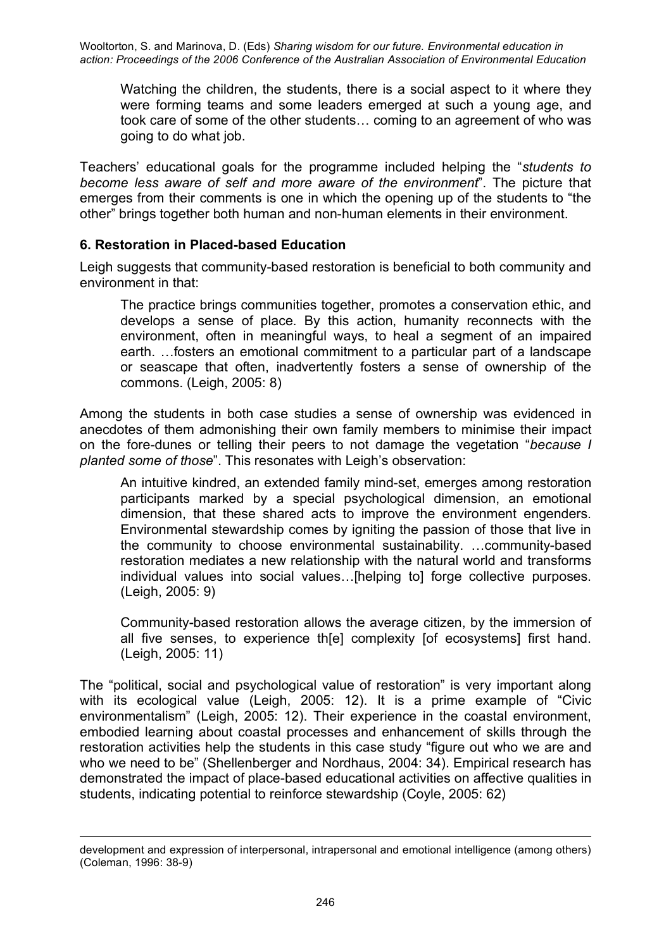Watching the children, the students, there is a social aspect to it where they were forming teams and some leaders emerged at such a young age, and took care of some of the other students… coming to an agreement of who was going to do what job.

Teachers' educational goals for the programme included helping the "*students to become less aware of self and more aware of the environment*". The picture that emerges from their comments is one in which the opening up of the students to "the other" brings together both human and non-human elements in their environment.

### **6. Restoration in Placed-based Education**

1

Leigh suggests that community-based restoration is beneficial to both community and environment in that:

The practice brings communities together, promotes a conservation ethic, and develops a sense of place. By this action, humanity reconnects with the environment, often in meaningful ways, to heal a segment of an impaired earth. …fosters an emotional commitment to a particular part of a landscape or seascape that often, inadvertently fosters a sense of ownership of the commons. (Leigh, 2005: 8)

Among the students in both case studies a sense of ownership was evidenced in anecdotes of them admonishing their own family members to minimise their impact on the fore-dunes or telling their peers to not damage the vegetation "*because I planted some of those*". This resonates with Leigh's observation:

An intuitive kindred, an extended family mind-set, emerges among restoration participants marked by a special psychological dimension, an emotional dimension, that these shared acts to improve the environment engenders. Environmental stewardship comes by igniting the passion of those that live in the community to choose environmental sustainability. …community-based restoration mediates a new relationship with the natural world and transforms individual values into social values…[helping to] forge collective purposes. (Leigh, 2005: 9)

Community-based restoration allows the average citizen, by the immersion of all five senses, to experience th[e] complexity [of ecosystems] first hand. (Leigh, 2005: 11)

The "political, social and psychological value of restoration" is very important along with its ecological value (Leigh, 2005: 12). It is a prime example of "Civic environmentalism" (Leigh, 2005: 12). Their experience in the coastal environment, embodied learning about coastal processes and enhancement of skills through the restoration activities help the students in this case study "figure out who we are and who we need to be" (Shellenberger and Nordhaus, 2004: 34). Empirical research has demonstrated the impact of place-based educational activities on affective qualities in students, indicating potential to reinforce stewardship (Coyle, 2005: 62)

development and expression of interpersonal, intrapersonal and emotional intelligence (among others) (Coleman, 1996: 38-9)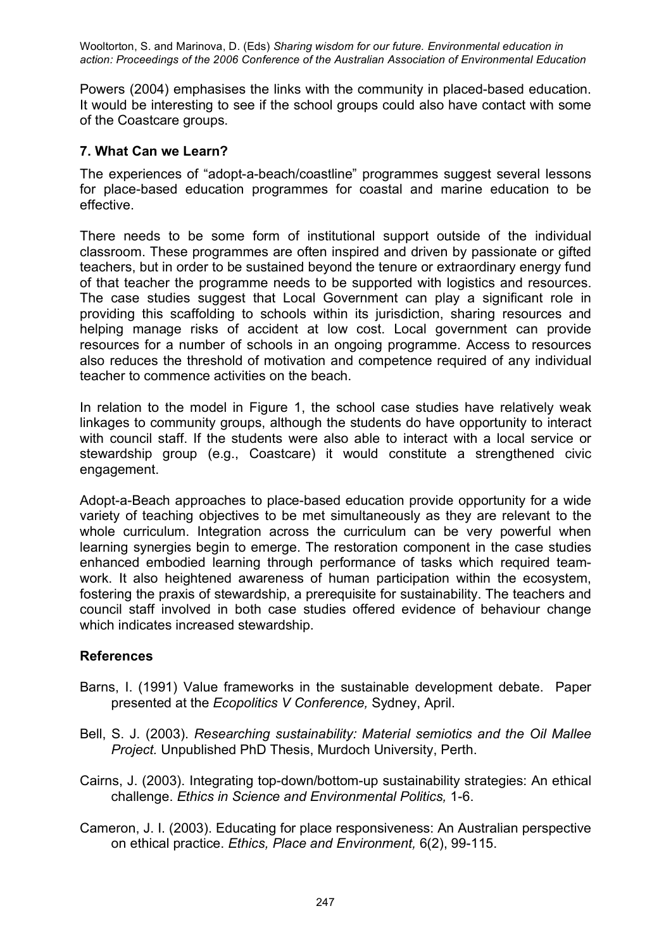Powers (2004) emphasises the links with the community in placed-based education. It would be interesting to see if the school groups could also have contact with some of the Coastcare groups.

### **7. What Can we Learn?**

The experiences of "adopt-a-beach/coastline" programmes suggest several lessons for place-based education programmes for coastal and marine education to be effective.

There needs to be some form of institutional support outside of the individual classroom. These programmes are often inspired and driven by passionate or gifted teachers, but in order to be sustained beyond the tenure or extraordinary energy fund of that teacher the programme needs to be supported with logistics and resources. The case studies suggest that Local Government can play a significant role in providing this scaffolding to schools within its jurisdiction, sharing resources and helping manage risks of accident at low cost. Local government can provide resources for a number of schools in an ongoing programme. Access to resources also reduces the threshold of motivation and competence required of any individual teacher to commence activities on the beach.

In relation to the model in Figure 1, the school case studies have relatively weak linkages to community groups, although the students do have opportunity to interact with council staff. If the students were also able to interact with a local service or stewardship group (e.g., Coastcare) it would constitute a strengthened civic engagement.

Adopt-a-Beach approaches to place-based education provide opportunity for a wide variety of teaching objectives to be met simultaneously as they are relevant to the whole curriculum. Integration across the curriculum can be very powerful when learning synergies begin to emerge. The restoration component in the case studies enhanced embodied learning through performance of tasks which required teamwork. It also heightened awareness of human participation within the ecosystem, fostering the praxis of stewardship, a prerequisite for sustainability. The teachers and council staff involved in both case studies offered evidence of behaviour change which indicates increased stewardship.

#### **References**

- Barns, I. (1991) Value frameworks in the sustainable development debate. Paper presented at the *Ecopolitics V Conference,* Sydney, April.
- Bell, S. J. (2003). *Researching sustainability: Material semiotics and the Oil Mallee Project.* Unpublished PhD Thesis, Murdoch University, Perth.
- Cairns, J. (2003). Integrating top-down/bottom-up sustainability strategies: An ethical challenge. *Ethics in Science and Environmental Politics,* 1-6.
- Cameron, J. I. (2003). Educating for place responsiveness: An Australian perspective on ethical practice. *Ethics, Place and Environment,* 6(2), 99-115.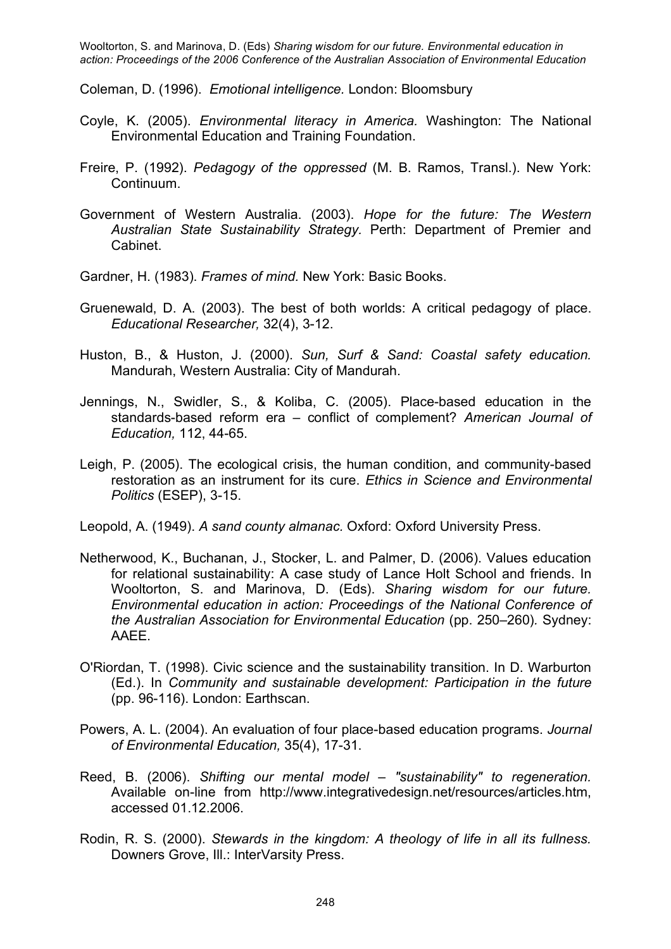Coleman, D. (1996). *Emotional intelligence.* London: Bloomsbury

- Coyle, K. (2005). *Environmental literacy in America.* Washington: The National Environmental Education and Training Foundation.
- Freire, P. (1992). *Pedagogy of the oppressed* (M. B. Ramos, Transl.). New York: Continuum.
- Government of Western Australia. (2003). *Hope for the future: The Western Australian State Sustainability Strategy.* Perth: Department of Premier and Cabinet.
- Gardner, H. (1983). *Frames of mind.* New York: Basic Books.
- Gruenewald, D. A. (2003). The best of both worlds: A critical pedagogy of place. *Educational Researcher,* 32(4), 3-12.
- Huston, B., & Huston, J. (2000). *Sun, Surf & Sand: Coastal safety education.* Mandurah, Western Australia: City of Mandurah.
- Jennings, N., Swidler, S., & Koliba, C. (2005). Place-based education in the standards-based reform era – conflict of complement? *American Journal of Education,* 112, 44-65.
- Leigh, P. (2005). The ecological crisis, the human condition, and community-based restoration as an instrument for its cure. *Ethics in Science and Environmental Politics* (ESEP), 3-15.
- Leopold, A. (1949). *A sand county almanac.* Oxford: Oxford University Press.
- Netherwood, K., Buchanan, J., Stocker, L. and Palmer, D. (2006). Values education for relational sustainability: A case study of Lance Holt School and friends. In Wooltorton, S. and Marinova, D. (Eds). *Sharing wisdom for our future. Environmental education in action: Proceedings of the National Conference of the Australian Association for Environmental Education* (pp. 250–260)*.* Sydney: AAEE.
- O'Riordan, T. (1998). Civic science and the sustainability transition. In D. Warburton (Ed.). In *Community and sustainable development: Participation in the future* (pp. 96-116). London: Earthscan.
- Powers, A. L. (2004). An evaluation of four place-based education programs. *Journal of Environmental Education,* 35(4), 17-31.
- Reed, B. (2006). *Shifting our mental model – "sustainability" to regeneration.* Available on-line from http://www.integrativedesign.net/resources/articles.htm, accessed 01.12.2006.
- Rodin, R. S. (2000). *Stewards in the kingdom: A theology of life in all its fullness.* Downers Grove, Ill.: InterVarsity Press.